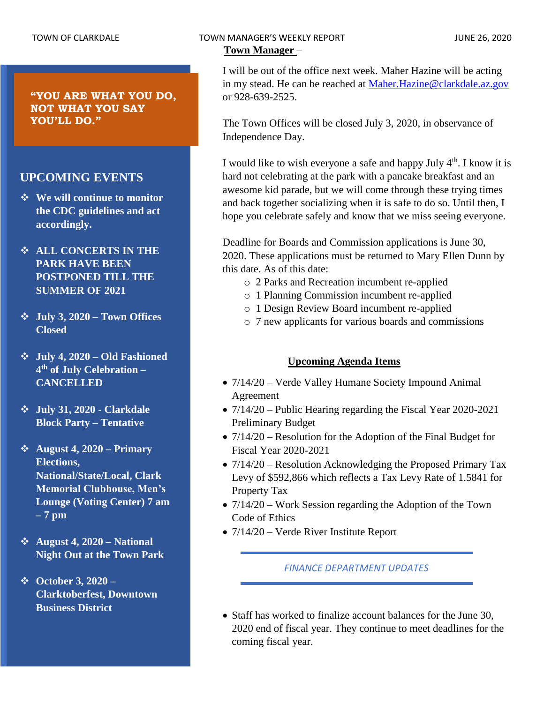**"YOU ARE WHAT YOU DO, NOT WHAT YOU SAY YOU'LL DO."**

## **UPCOMING EVENTS**

- ❖ **We will continue to monitor the CDC guidelines and act accordingly.**
- ❖ **ALL CONCERTS IN THE PARK HAVE BEEN POSTPONED TILL THE SUMMER OF 2021**
- ❖ **July 3, 2020 – Town Offices Closed**
- ❖ **July 4, 2020 – Old Fashioned 4 th of July Celebration – CANCELLED**
- ❖ **July 31, 2020 - Clarkdale Block Party – Tentative**
- ❖ **August 4, 2020 – Primary Elections, National/State/Local, Clark Memorial Clubhouse, Men's Lounge (Voting Center) 7 am – 7 pm**
- ❖ **August 4, 2020 – National Night Out at the Town Park**
- ❖ **October 3, 2020 – Clarktoberfest, Downtown Business District**

I will be out of the office next week. Maher Hazine will be acting in my stead. He can be reached at [Maher.Hazine@clarkdale.az.gov](mailto:Maher.Hazine@clarkdale.az.gov) or 928-639-2525.

The Town Offices will be closed July 3, 2020, in observance of Independence Day.

I would like to wish everyone a safe and happy July  $4<sup>th</sup>$ . I know it is hard not celebrating at the park with a pancake breakfast and an awesome kid parade, but we will come through these trying times and back together socializing when it is safe to do so. Until then, I hope you celebrate safely and know that we miss seeing everyone.

Deadline for Boards and Commission applications is June 30, 2020. These applications must be returned to Mary Ellen Dunn by this date. As of this date:

- o 2 Parks and Recreation incumbent re-applied
- o 1 Planning Commission incumbent re-applied
- o 1 Design Review Board incumbent re-applied
- o 7 new applicants for various boards and commissions

## **Upcoming Agenda Items**

- $7/14/20$  Verde Valley Humane Society Impound Animal Agreement
- 7/14/20 Public Hearing regarding the Fiscal Year 2020-2021 Preliminary Budget
- 7/14/20 Resolution for the Adoption of the Final Budget for Fiscal Year 2020-2021
- 7/14/20 Resolution Acknowledging the Proposed Primary Tax Levy of \$592,866 which reflects a Tax Levy Rate of 1.5841 for Property Tax
- 7/14/20 Work Session regarding the Adoption of the Town Code of Ethics
- $7/14/20$  Verde River Institute Report

*FINANCE DEPARTMENT UPDATES*

• Staff has worked to finalize account balances for the June 30, 2020 end of fiscal year. They continue to meet deadlines for the coming fiscal year.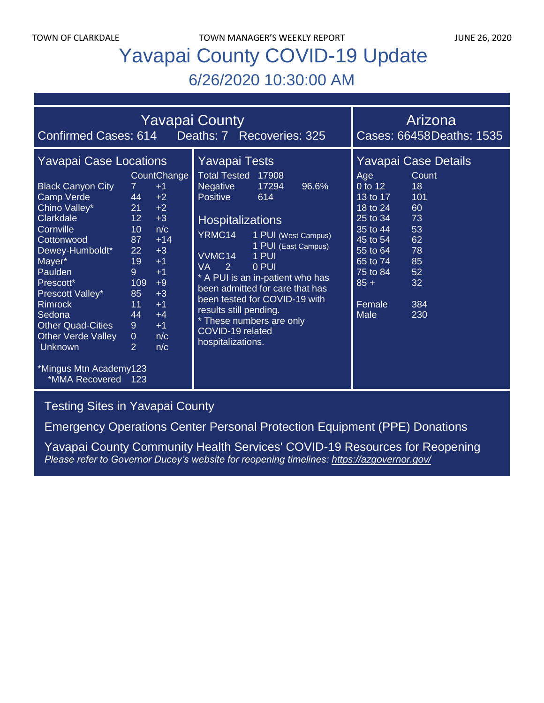TOWN OF CLARKDALE TOWN MANAGER'S WEEKLY REPORT TOWN OF CLARKDALE

# Yavapai County COVID-19 Update 6/26/2020 10:30:00 AM

| <b>Yavapai County</b>                                                                                                                                                                                                                                                                                                                                                                                                                                                                                                                                                                                                                                                |                                                                                                                                                                                                                                                                                                                                                                                                                                               | Arizona                                                                                                                                                                                                                                                       |
|----------------------------------------------------------------------------------------------------------------------------------------------------------------------------------------------------------------------------------------------------------------------------------------------------------------------------------------------------------------------------------------------------------------------------------------------------------------------------------------------------------------------------------------------------------------------------------------------------------------------------------------------------------------------|-----------------------------------------------------------------------------------------------------------------------------------------------------------------------------------------------------------------------------------------------------------------------------------------------------------------------------------------------------------------------------------------------------------------------------------------------|---------------------------------------------------------------------------------------------------------------------------------------------------------------------------------------------------------------------------------------------------------------|
| Confirmed Cases: 614  Deaths: 7  Recoveries: 325                                                                                                                                                                                                                                                                                                                                                                                                                                                                                                                                                                                                                     |                                                                                                                                                                                                                                                                                                                                                                                                                                               | Cases: 66458Deaths: 1535                                                                                                                                                                                                                                      |
| <b>Yavapai Case Locations</b><br>CountChange<br><b>Black Canyon City</b><br>$7^{\circ}$<br>$+1$<br>Camp Verde<br>44<br>$+2$<br>Chino Valley*<br>21<br>$+2$<br>Clarkdale<br>12 <sup>°</sup><br>$+3$<br>Cornville<br>n/c<br>10<br>$+14$<br>87<br>Cottonwood<br>Dewey-Humboldt*<br>$+3$<br>22<br>19<br>Mayer*<br>$+1$<br>Paulden<br>9<br>$+1$<br>109<br>Prescott*<br>$+9$<br>85<br>$+3$<br>Prescott Valley*<br><b>Rimrock</b><br>11<br>$+1$<br>44<br>Sedona<br>$+4$<br><b>Other Quad-Cities</b><br>$9^{\circ}$<br>$+1$<br><b>Other Verde Valley</b><br>$\overline{0}$<br>n/c<br>$\overline{2}$<br><b>Unknown</b><br>n/c<br>*Mingus Mtn Academy123<br>*MMA Recovered 123 | Yavapai Tests<br><b>Total Tested</b><br>17908<br><b>Negative</b><br>17294<br>96.6%<br>Positive<br>614<br><b>Hospitalizations</b><br>YRMC14<br>1 PUI (West Campus)<br>1 PUI (East Campus)<br>VVMC14<br>1 PUI<br><b>VA</b><br>2<br>0 PUI<br>* A PUI is an in-patient who has<br>been admitted for care that has<br>been tested for COVID-19 with<br>results still pending.<br>* These numbers are only<br>COVID-19 related<br>hospitalizations. | Yavapai Case Details<br>Age<br>Count<br>0 to 12<br>18<br>101<br>13 to 17<br>60<br>18 to 24<br>25 to 34<br>73<br>53<br>35 to 44<br>62<br>45 to 54<br>78<br>55 to 64<br>85<br>65 to 74<br>75 to 84<br>52<br>$85 +$<br>32<br>Female<br>384<br><b>Male</b><br>230 |

## [Testing Sites in Yavapai County](https://www.yavapai.us/Portals/39/COVID-19/TestingSitesinYavapaiCounty.pdf)

[Emergency Operations Center Personal Protection Equipment \(PPE\) Donations](http://www.yavapai.us/Portals/39/PPE%20Donations.pdf)

[Yavapai County Community Health Services' COVID-19 Resources for Reopening](https://www.yavapai.us/chs/COVID-19) *Please refer to Governor Ducey's website for reopening timelines: <https://azgovernor.gov/>*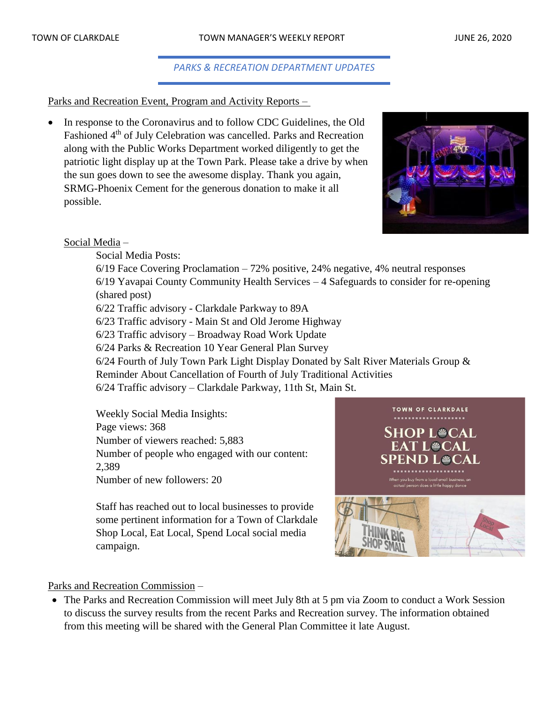#### *PARKS & RECREATION DEPARTMENT UPDATES*

#### Parks and Recreation Event, Program and Activity Reports –

• In response to the Coronavirus and to follow CDC Guidelines, the Old Fashioned 4<sup>th</sup> of July Celebration was cancelled. Parks and Recreation along with the Public Works Department worked diligently to get the patriotic light display up at the Town Park. Please take a drive by when the sun goes down to see the awesome display. Thank you again, SRMG-Phoenix Cement for the generous donation to make it all possible.



#### Social Media –

Social Media Posts:

6/19 Face Covering Proclamation – 72% positive, 24% negative, 4% neutral responses 6/19 Yavapai County Community Health Services – 4 Safeguards to consider for re-opening (shared post)

6/22 Traffic advisory - Clarkdale Parkway to 89A

6/23 Traffic advisory - Main St and Old Jerome Highway

6/23 Traffic advisory – Broadway Road Work Update

6/24 Parks & Recreation 10 Year General Plan Survey

6/24 Fourth of July Town Park Light Display Donated by Salt River Materials Group &

Reminder About Cancellation of Fourth of July Traditional Activities

6/24 Traffic advisory – Clarkdale Parkway, 11th St, Main St.

Weekly Social Media Insights: Page views: 368 Number of viewers reached: 5,883 Number of people who engaged with our content: 2,389 Number of new followers: 20

Staff has reached out to local businesses to provide some pertinent information for a Town of Clarkdale Shop Local, Eat Local, Spend Local social media campaign.



#### Parks and Recreation Commission –

• The Parks and Recreation Commission will meet July 8th at 5 pm via Zoom to conduct a Work Session to discuss the survey results from the recent Parks and Recreation survey. The information obtained from this meeting will be shared with the General Plan Committee it late August.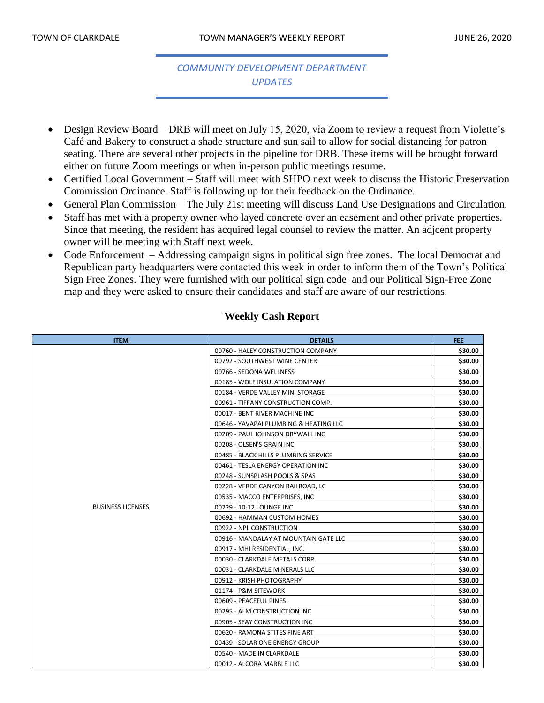## *COMMUNITY DEVELOPMENT DEPARTMENT UPDATES*

- Design Review Board DRB will meet on July 15, 2020, via Zoom to review a request from Violette's Café and Bakery to construct a shade structure and sun sail to allow for social distancing for patron seating. There are several other projects in the pipeline for DRB. These items will be brought forward either on future Zoom meetings or when in-person public meetings resume.
- Certified Local Government Staff will meet with SHPO next week to discuss the Historic Preservation Commission Ordinance. Staff is following up for their feedback on the Ordinance.
- General Plan Commission The July 21st meeting will discuss Land Use Designations and Circulation.
- Staff has met with a property owner who layed concrete over an easement and other private properties. Since that meeting, the resident has acquired legal counsel to review the matter. An adjcent property owner will be meeting with Staff next week.
- Code Enforcement Addressing campaign signs in political sign free zones. The local Democrat and Republican party headquarters were contacted this week in order to inform them of the Town's Political Sign Free Zones. They were furnished with our political sign code and our Political Sign-Free Zone map and they were asked to ensure their candidates and staff are aware of our restrictions.

| <b>ITEM</b>              | <b>DETAILS</b>                         | FEE.    |
|--------------------------|----------------------------------------|---------|
|                          | 00760 - HALEY CONSTRUCTION COMPANY     | \$30.00 |
|                          | 00792 - SOUTHWEST WINE CENTER          | \$30.00 |
|                          | 00766 - SEDONA WELLNESS                | \$30.00 |
|                          | 00185 - WOLF INSULATION COMPANY        | \$30.00 |
|                          | 00184 - VERDE VALLEY MINI STORAGE      | \$30.00 |
|                          | 00961 - TIFFANY CONSTRUCTION COMP.     | \$30.00 |
|                          | 00017 - BENT RIVER MACHINE INC         | \$30.00 |
|                          | 00646 - YAVAPAI PLUMBING & HEATING LLC | \$30.00 |
|                          | 00209 - PAUL JOHNSON DRYWALL INC       | \$30.00 |
|                          | 00208 - OLSEN'S GRAIN INC              | \$30.00 |
|                          | 00485 - BLACK HILLS PLUMBING SERVICE   | \$30.00 |
|                          | 00461 - TESLA ENERGY OPERATION INC     | \$30.00 |
|                          | 00248 - SUNSPLASH POOLS & SPAS         | \$30.00 |
|                          | 00228 - VERDE CANYON RAILROAD, LC      | \$30.00 |
|                          | 00535 - MACCO ENTERPRISES, INC         | \$30.00 |
| <b>BUSINESS LICENSES</b> | 00229 - 10-12 LOUNGE INC               | \$30.00 |
|                          | 00692 - HAMMAN CUSTOM HOMES            | \$30.00 |
|                          | 00922 - NPL CONSTRUCTION               | \$30.00 |
|                          | 00916 - MANDALAY AT MOUNTAIN GATE LLC  | \$30.00 |
|                          | 00917 - MHI RESIDENTIAL, INC.          | \$30.00 |
|                          | 00030 - CLARKDALE METALS CORP.         | \$30.00 |
|                          | 00031 - CLARKDALE MINERALS LLC         | \$30.00 |
|                          | 00912 - KRISH PHOTOGRAPHY              | \$30.00 |
|                          | 01174 - P&M SITEWORK                   | \$30.00 |
|                          | 00609 - PEACEFUL PINES                 | \$30.00 |
|                          | 00295 - ALM CONSTRUCTION INC           | \$30.00 |
|                          | 00905 - SEAY CONSTRUCTION INC          | \$30.00 |
|                          | 00620 - RAMONA STITES FINE ART         | \$30.00 |
|                          | 00439 - SOLAR ONE ENERGY GROUP         | \$30.00 |
|                          | 00540 - MADE IN CLARKDALE              | \$30.00 |
|                          | 00012 - ALCORA MARBLE LLC              | \$30.00 |

#### **Weekly Cash Report**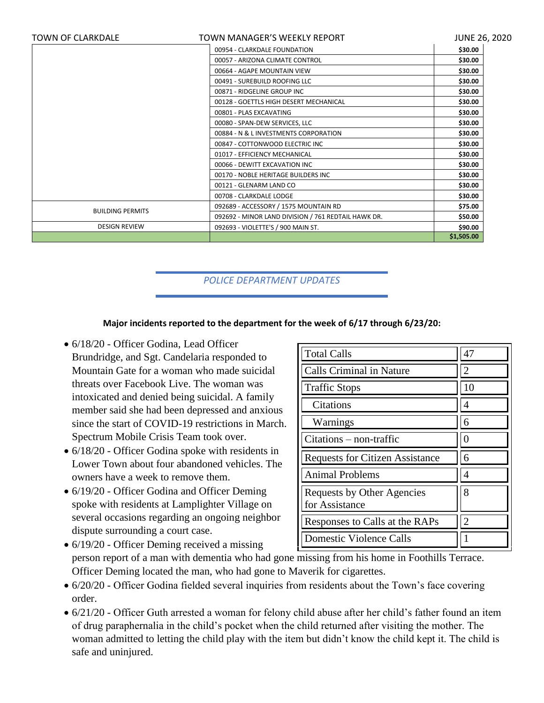| <b>TOWN OF CLARKDALE</b> | TOWN MANAGER'S WEEKLY REPORT                        | <b>JUNE 26, 2020</b> |
|--------------------------|-----------------------------------------------------|----------------------|
|                          | 00954 - CLARKDALE FOUNDATION                        | \$30.00              |
|                          | 00057 - ARIZONA CLIMATE CONTROL                     | \$30.00              |
|                          | 00664 - AGAPE MOUNTAIN VIEW                         | \$30.00              |
|                          | 00491 - SUREBUILD ROOFING LLC                       | \$30.00              |
|                          | 00871 - RIDGELINE GROUP INC                         | \$30.00              |
|                          | 00128 - GOETTLS HIGH DESERT MECHANICAL              | \$30.00              |
|                          | 00801 - PLAS EXCAVATING                             | \$30.00              |
|                          | 00080 - SPAN-DEW SERVICES, LLC                      | \$30.00              |
|                          | 00884 - N & L INVESTMENTS CORPORATION               | \$30.00              |
|                          | 00847 - COTTONWOOD ELECTRIC INC                     | \$30.00              |
|                          | 01017 - EFFICIENCY MECHANICAL                       | \$30.00              |
|                          | 00066 - DEWITT EXCAVATION INC                       | \$30.00              |
|                          | 00170 - NOBLE HERITAGE BUILDERS INC                 | \$30.00              |
|                          | 00121 - GLENARM LAND CO                             | \$30.00              |
|                          | 00708 - CLARKDALE LODGE                             | \$30.00              |
| <b>BUILDING PERMITS</b>  | 092689 - ACCESSORY / 1575 MOUNTAIN RD               | \$75.00              |
|                          | 092692 - MINOR LAND DIVISION / 761 REDTAIL HAWK DR. | \$50.00              |
| <b>DESIGN REVIEW</b>     | 092693 - VIOLETTE'S / 900 MAIN ST.                  | \$90.00              |
|                          |                                                     | \$1,505.00           |

## *POLICE DEPARTMENT UPDATES*

#### **Major incidents reported to the department for the week of 6/17 through 6/23/20:**

- $6/18/20$  Officer Godina, Lead Officer Brundridge, and Sgt. Candelaria responded to Mountain Gate for a woman who made suicidal threats over Facebook Live. The woman was intoxicated and denied being suicidal. A family member said she had been depressed and anxious since the start of COVID-19 restrictions in March. Spectrum Mobile Crisis Team took over.
- 6/18/20 Officer Godina spoke with residents in Lower Town about four abandoned vehicles. The owners have a week to remove them.
- 6/19/20 Officer Godina and Officer Deming spoke with residents at Lamplighter Village on several occasions regarding an ongoing neighbor dispute surrounding a court case.

| <b>Total Calls</b>                           | 47             |
|----------------------------------------------|----------------|
| <b>Calls Criminal in Nature</b>              | 2              |
| <b>Traffic Stops</b>                         | 10             |
| Citations                                    | 4              |
| Warnings                                     | 6              |
| $Citations - non-traffic$                    | $\mathcal{O}$  |
| <b>Requests for Citizen Assistance</b>       | 6              |
| <b>Animal Problems</b>                       | 4              |
| Requests by Other Agencies<br>for Assistance | 8              |
| Responses to Calls at the RAPs               | $\overline{2}$ |
| <b>Domestic Violence Calls</b>               |                |

- $6/19/20$  Officer Deming received a missing person report of a man with dementia who had gone missing from his home in Foothills Terrace. Officer Deming located the man, who had gone to Maverik for cigarettes.
- 6/20/20 Officer Godina fielded several inquiries from residents about the Town's face covering order.
- 6/21/20 Officer Guth arrested a woman for felony child abuse after her child's father found an item of drug paraphernalia in the child's pocket when the child returned after visiting the mother. The woman admitted to letting the child play with the item but didn't know the child kept it. The child is safe and uninjured.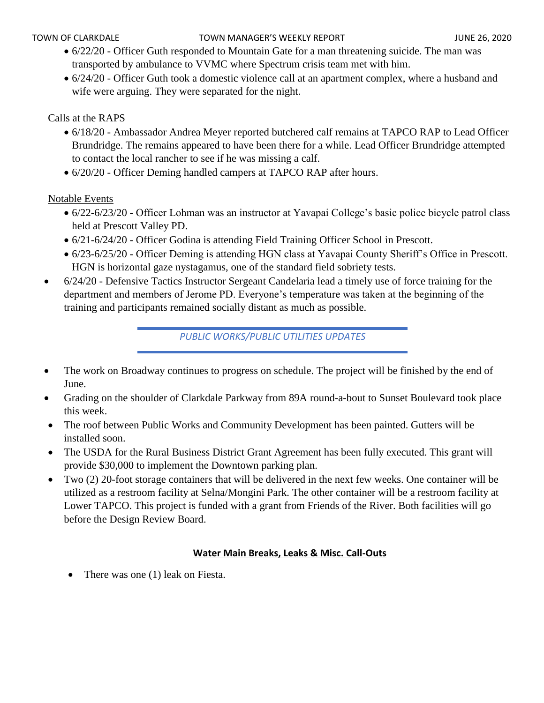- 6/22/20 Officer Guth responded to Mountain Gate for a man threatening suicide. The man was transported by ambulance to VVMC where Spectrum crisis team met with him.
- 6/24/20 Officer Guth took a domestic violence call at an apartment complex, where a husband and wife were arguing. They were separated for the night.

## Calls at the RAPS

- 6/18/20 Ambassador Andrea Meyer reported butchered calf remains at TAPCO RAP to Lead Officer Brundridge. The remains appeared to have been there for a while. Lead Officer Brundridge attempted to contact the local rancher to see if he was missing a calf.
- 6/20/20 Officer Deming handled campers at TAPCO RAP after hours.

### Notable Events

- 6/22-6/23/20 Officer Lohman was an instructor at Yavapai College's basic police bicycle patrol class held at Prescott Valley PD.
- 6/21-6/24/20 Officer Godina is attending Field Training Officer School in Prescott.
- 6/23-6/25/20 Officer Deming is attending HGN class at Yavapai County Sheriff's Office in Prescott. HGN is horizontal gaze nystagamus, one of the standard field sobriety tests.
- 6/24/20 Defensive Tactics Instructor Sergeant Candelaria lead a timely use of force training for the department and members of Jerome PD. Everyone's temperature was taken at the beginning of the training and participants remained socially distant as much as possible.

*PUBLIC WORKS/PUBLIC UTILITIES UPDATES*

- The work on Broadway continues to progress on schedule. The project will be finished by the end of June.
- Grading on the shoulder of Clarkdale Parkway from 89A round-a-bout to Sunset Boulevard took place this week.
- The roof between Public Works and Community Development has been painted. Gutters will be installed soon.
- The USDA for the Rural Business District Grant Agreement has been fully executed. This grant will provide \$30,000 to implement the Downtown parking plan.
- Two (2) 20-foot storage containers that will be delivered in the next few weeks. One container will be utilized as a restroom facility at Selna/Mongini Park. The other container will be a restroom facility at Lower TAPCO. This project is funded with a grant from Friends of the River. Both facilities will go before the Design Review Board.

## **Water Main Breaks, Leaks & Misc. Call-Outs**

• There was one (1) leak on Fiesta.